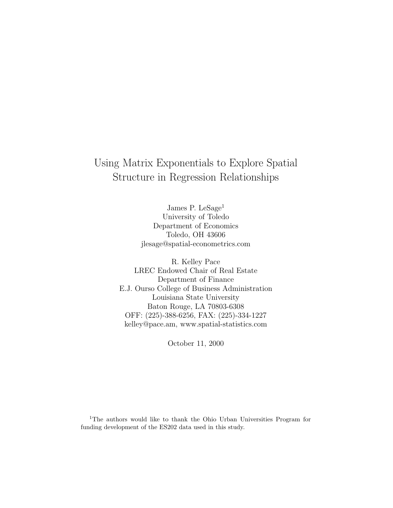# Using Matrix Exponentials to Explore Spatial Structure in Regression Relationships

James P. LeSage<sup>1</sup> University of Toledo Department of Economics Toledo, OH 43606 jlesage@spatial-econometrics.com

R. Kelley Pace LREC Endowed Chair of Real Estate Department of Finance E.J. Ourso College of Business Administration Louisiana State University Baton Rouge, LA 70803-6308 OFF: (225)-388-6256, FAX: (225)-334-1227 kelley@pace.am, www.spatial-statistics.com

October 11, 2000

<sup>1</sup>The authors would like to thank the Ohio Urban Universities Program for funding development of the ES202 data used in this study.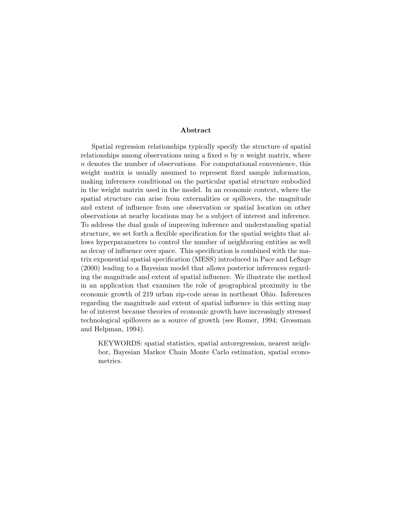#### Abstract

Spatial regression relationships typically specify the structure of spatial relationships among observations using a fixed  $n$  by  $n$  weight matrix, where n denotes the number of observations. For computational convenience, this weight matrix is usually assumed to represent fixed sample information, making inferences conditional on the particular spatial structure embodied in the weight matrix used in the model. In an economic context, where the spatial structure can arise from externalities or spillovers, the magnitude and extent of influence from one observation or spatial location on other observations at nearby locations may be a subject of interest and inference. To address the dual goals of improving inference and understanding spatial structure, we set forth a flexible specification for the spatial weights that allows hyperparameters to control the number of neighboring entities as well as decay of influence over space. This specification is combined with the matrix exponential spatial specification (MESS) introduced in Pace and LeSage (2000) leading to a Bayesian model that allows posterior inferences regarding the magnitude and extent of spatial influence. We illustrate the method in an application that examines the role of geographical proximity in the economic growth of 219 urban zip-code areas in northeast Ohio. Inferences regarding the magnitude and extent of spatial influence in this setting may be of interest because theories of economic growth have increasingly stressed technological spillovers as a source of growth (see Romer, 1994; Grossman and Helpman, 1994).

KEYWORDS: spatial statistics, spatial autoregression, nearest neighbor, Bayesian Markov Chain Monte Carlo estimation, spatial econometrics.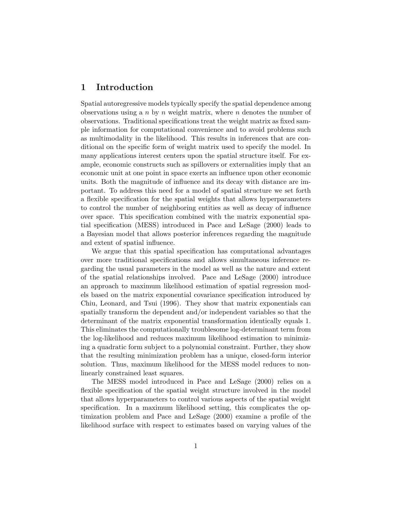## 1 Introduction

Spatial autoregressive models typically specify the spatial dependence among observations using a  $n$  by  $n$  weight matrix, where  $n$  denotes the number of observations. Traditional specifications treat the weight matrix as fixed sample information for computational convenience and to avoid problems such as multimodality in the likelihood. This results in inferences that are conditional on the specific form of weight matrix used to specify the model. In many applications interest centers upon the spatial structure itself. For example, economic constructs such as spillovers or externalities imply that an economic unit at one point in space exerts an influence upon other economic units. Both the magnitude of influence and its decay with distance are important. To address this need for a model of spatial structure we set forth a flexible specification for the spatial weights that allows hyperparameters to control the number of neighboring entities as well as decay of influence over space. This specification combined with the matrix exponential spatial specification (MESS) introduced in Pace and LeSage (2000) leads to a Bayesian model that allows posterior inferences regarding the magnitude and extent of spatial influence.

We argue that this spatial specification has computational advantages over more traditional specifications and allows simultaneous inference regarding the usual parameters in the model as well as the nature and extent of the spatial relationships involved. Pace and LeSage (2000) introduce an approach to maximum likelihood estimation of spatial regression models based on the matrix exponential covariance specification introduced by Chiu, Leonard, and Tsui (1996). They show that matrix exponentials can spatially transform the dependent and/or independent variables so that the determinant of the matrix exponential transformation identically equals 1. This eliminates the computationally troublesome log-determinant term from the log-likelihood and reduces maximum likelihood estimation to minimizing a quadratic form subject to a polynomial constraint. Further, they show that the resulting minimization problem has a unique, closed-form interior solution. Thus, maximum likelihood for the MESS model reduces to nonlinearly constrained least squares.

The MESS model introduced in Pace and LeSage (2000) relies on a flexible specification of the spatial weight structure involved in the model that allows hyperparameters to control various aspects of the spatial weight specification. In a maximum likelihood setting, this complicates the optimization problem and Pace and LeSage (2000) examine a profile of the likelihood surface with respect to estimates based on varying values of the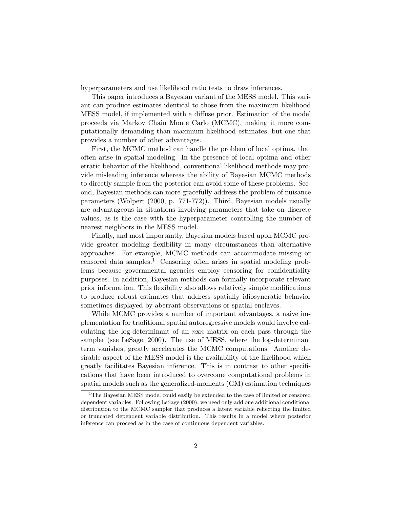hyperparameters and use likelihood ratio tests to draw inferences.

This paper introduces a Bayesian variant of the MESS model. This variant can produce estimates identical to those from the maximum likelihood MESS model, if implemented with a diffuse prior. Estimation of the model proceeds via Markov Chain Monte Carlo (MCMC), making it more computationally demanding than maximum likelihood estimates, but one that provides a number of other advantages.

First, the MCMC method can handle the problem of local optima, that often arise in spatial modeling. In the presence of local optima and other erratic behavior of the likelihood, conventional likelihood methods may provide misleading inference whereas the ability of Bayesian MCMC methods to directly sample from the posterior can avoid some of these problems. Second, Bayesian methods can more gracefully address the problem of nuisance parameters (Wolpert (2000, p. 771-772)). Third, Bayesian models usually are advantageous in situations involving parameters that take on discrete values, as is the case with the hyperparameter controlling the number of nearest neighbors in the MESS model.

Finally, and most importantly, Bayesian models based upon MCMC provide greater modeling flexibility in many circumstances than alternative approaches. For example, MCMC methods can accommodate missing or censored data samples.<sup>1</sup> Censoring often arises in spatial modeling problems because governmental agencies employ censoring for confidentiality purposes. In addition, Bayesian methods can formally incorporate relevant prior information. This flexibility also allows relatively simple modifications to produce robust estimates that address spatially idiosyncratic behavior sometimes displayed by aberrant observations or spatial enclaves.

While MCMC provides a number of important advantages, a naive implementation for traditional spatial autoregressive models would involve calculating the log-determinant of an nxn matrix on each pass through the sampler (see LeSage, 2000). The use of MESS, where the log-determinant term vanishes, greatly accelerates the MCMC computations. Another desirable aspect of the MESS model is the availability of the likelihood which greatly facilitates Bayesian inference. This is in contrast to other specifications that have been introduced to overcome computational problems in spatial models such as the generalized-moments (GM) estimation techniques

<sup>&</sup>lt;sup>1</sup>The Bayesian MESS model could easily be extended to the case of limited or censored dependent variables. Following LeSage (2000), we need only add one additional conditional distribution to the MCMC sampler that produces a latent variable reflecting the limited or truncated dependent variable distribution. This results in a model where posterior inference can proceed as in the case of continuous dependent variables.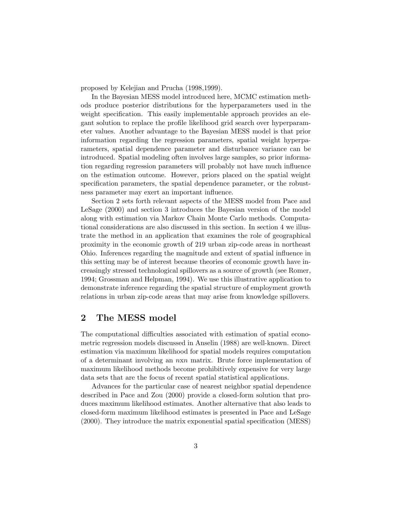proposed by Kelejian and Prucha (1998,1999).

In the Bayesian MESS model introduced here, MCMC estimation methods produce posterior distributions for the hyperparameters used in the weight specification. This easily implementable approach provides an elegant solution to replace the profile likelihood grid search over hyperparameter values. Another advantage to the Bayesian MESS model is that prior information regarding the regression parameters, spatial weight hyperparameters, spatial dependence parameter and disturbance variance can be introduced. Spatial modeling often involves large samples, so prior information regarding regression parameters will probably not have much influence on the estimation outcome. However, priors placed on the spatial weight specification parameters, the spatial dependence parameter, or the robustness parameter may exert an important influence.

Section 2 sets forth relevant aspects of the MESS model from Pace and LeSage (2000) and section 3 introduces the Bayesian version of the model along with estimation via Markov Chain Monte Carlo methods. Computational considerations are also discussed in this section. In section 4 we illustrate the method in an application that examines the role of geographical proximity in the economic growth of 219 urban zip-code areas in northeast Ohio. Inferences regarding the magnitude and extent of spatial influence in this setting may be of interest because theories of economic growth have increasingly stressed technological spillovers as a source of growth (see Romer, 1994; Grossman and Helpman, 1994). We use this illustrative application to demonstrate inference regarding the spatial structure of employment growth relations in urban zip-code areas that may arise from knowledge spillovers.

## 2 The MESS model

The computational difficulties associated with estimation of spatial econometric regression models discussed in Anselin (1988) are well-known. Direct estimation via maximum likelihood for spatial models requires computation of a determinant involving an nxn matrix. Brute force implementation of maximum likelihood methods become prohibitively expensive for very large data sets that are the focus of recent spatial statistical applications.

Advances for the particular case of nearest neighbor spatial dependence described in Pace and Zou (2000) provide a closed-form solution that produces maximum likelihood estimates. Another alternative that also leads to closed-form maximum likelihood estimates is presented in Pace and LeSage (2000). They introduce the matrix exponential spatial specification (MESS)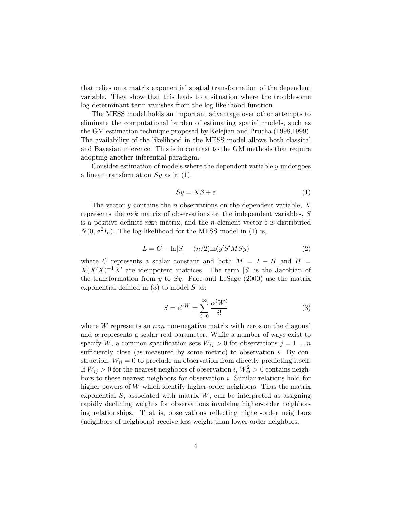that relies on a matrix exponential spatial transformation of the dependent variable. They show that this leads to a situation where the troublesome log determinant term vanishes from the log likelihood function.

The MESS model holds an important advantage over other attempts to eliminate the computational burden of estimating spatial models, such as the GM estimation technique proposed by Kelejian and Prucha (1998,1999). The availability of the likelihood in the MESS model allows both classical and Bayesian inference. This is in contrast to the GM methods that require adopting another inferential paradigm.

Consider estimation of models where the dependent variable  $y$  undergoes a linear transformation  $Sy$  as in (1).

$$
Sy = X\beta + \varepsilon \tag{1}
$$

The vector y contains the n observations on the dependent variable,  $X$ represents the nxk matrix of observations on the independent variables, S is a positive definite  $n \times n$  matrix, and the *n*-element vector  $\varepsilon$  is distributed  $N(0, \sigma^2 I_n)$ . The log-likelihood for the MESS model in (1) is,

$$
L = C + \ln|S| - (n/2)\ln(y'S'MSy)
$$
 (2)

where C represents a scalar constant and both  $M = I - H$  and  $H =$  $X(X'X)^{-1}X'$  are idempotent matrices. The term |S| is the Jacobian of the transformation from y to Sy. Pace and LeSage  $(2000)$  use the matrix exponential defined in  $(3)$  to model S as:

$$
S = e^{\alpha W} = \sum_{i=0}^{\infty} \frac{\alpha^i W^i}{i!}
$$
 (3)

where  $W$  represents an  $n \times n$  non-negative matrix with zeros on the diagonal and  $\alpha$  represents a scalar real parameter. While a number of ways exist to specify W, a common specification sets  $W_{ij} > 0$  for observations  $j = 1 \dots n$ sufficiently close (as measured by some metric) to observation  $i$ . By construction,  $W_{ii} = 0$  to preclude an observation from directly predicting itself. If  $W_{ij} > 0$  for the nearest neighbors of observation i,  $W_{ij}^2 > 0$  contains neighbors to these nearest neighbors for observation i. Similar relations hold for higher powers of W which identify higher-order neighbors. Thus the matrix exponential  $S$ , associated with matrix  $W$ , can be interpreted as assigning rapidly declining weights for observations involving higher-order neighboring relationships. That is, observations reflecting higher-order neighbors (neighbors of neighbors) receive less weight than lower-order neighbors.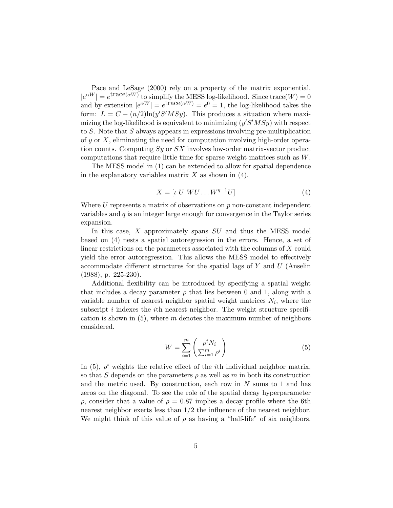Pace and LeSage (2000) rely on a property of the matrix exponential,  $|e^{\alpha W}| = e^{\text{trace}(\alpha W)}$  to simplify the MESS log-likelihood. Since trace  $(W) = 0$ and by extension  $|e^{\alpha W}| = e^{\arccos{\alpha W}} = e^0 = 1$ , the log-likelihood takes the form:  $L = C - (n/2) \ln(y'S'MSy)$ . This produces a situation where maximizing the log-likelihood is equivalent to minimizing  $(y'S'MSy)$  with respect to S. Note that S always appears in expressions involving pre-multiplication of y or X, eliminating the need for computation involving high-order operation counts. Computing  $Sy$  or  $SX$  involves low-order matrix-vector product computations that require little time for sparse weight matrices such as W.

The MESS model in (1) can be extended to allow for spatial dependence in the explanatory variables matrix  $X$  as shown in (4).

$$
X = \left[ \iota \ U \ WU \dots W^{q-1}U \right] \tag{4}
$$

Where  $U$  represents a matrix of observations on  $p$  non-constant independent variables and  $q$  is an integer large enough for convergence in the Taylor series expansion.

In this case, X approximately spans SU and thus the MESS model based on (4) nests a spatial autoregression in the errors. Hence, a set of linear restrictions on the parameters associated with the columns of X could yield the error autoregression. This allows the MESS model to effectively accommodate different structures for the spatial lags of  $Y$  and  $U$  (Anselin (1988), p. 225-230).

Additional flexibility can be introduced by specifying a spatial weight that includes a decay parameter  $\rho$  that lies between 0 and 1, along with a variable number of nearest neighbor spatial weight matrices  $N_i$ , where the subscript  $i$  indexes the  $i$ th nearest neighbor. The weight structure specification is shown in  $(5)$ , where m denotes the maximum number of neighbors considered.

$$
W = \sum_{i=1}^{m} \left( \frac{\rho^i N_i}{\sum_{i=1}^{m} \rho^i} \right)
$$
 (5)

In (5),  $\rho^{i}$  weights the relative effect of the *i*th individual neighbor matrix, so that S depends on the parameters  $\rho$  as well as m in both its construction and the metric used. By construction, each row in  $N$  sums to 1 and has zeros on the diagonal. To see the role of the spatial decay hyperparameter  $ρ$ , consider that a value of  $ρ = 0.87$  implies a decay profile where the 6th nearest neighbor exerts less than 1/2 the influence of the nearest neighbor. We might think of this value of  $\rho$  as having a "half-life" of six neighbors.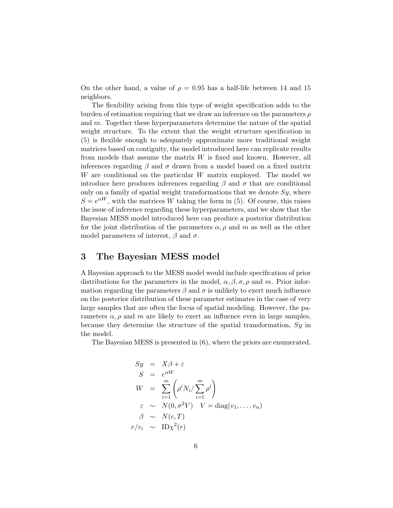On the other hand, a value of  $\rho = 0.95$  has a half-life between 14 and 15 neighbors.

The flexibility arising from this type of weight specification adds to the burden of estimation requiring that we draw an inference on the parameters  $\rho$ and m. Together these hyperparameters determine the nature of the spatial weight structure. To the extent that the weight structure specification in (5) is flexible enough to adequately approximate more traditional weight matrices based on contiguity, the model introduced here can replicate results from models that assume the matrix  $W$  is fixed and known. However, all inferences regarding  $\beta$  and  $\sigma$  drawn from a model based on a fixed matrix W are conditional on the particular W matrix employed. The model we introduce here produces inferences regarding  $\beta$  and  $\sigma$  that are conditional only on a family of spatial weight transformations that we denote  $Sy$ , where  $S = e^{\alpha W}$ , with the matrices W taking the form in (5). Of course, this raises the issue of inference regarding these hyperparameters, and we show that the Bayesian MESS model introduced here can produce a posterior distribution for the joint distribution of the parameters  $\alpha, \rho$  and m as well as the other model parameters of interest,  $\beta$  and  $\sigma$ .

### 3 The Bayesian MESS model

A Bayesian approach to the MESS model would include specification of prior distributions for the parameters in the model,  $\alpha, \beta, \sigma, \rho$  and m. Prior information regarding the parameters  $\beta$  and  $\sigma$  is unlikely to exert much influence on the posterior distribution of these parameter estimates in the case of very large samples that are often the focus of spatial modeling. However, the parameters  $\alpha$ ,  $\rho$  and m are likely to exert an influence even in large samples, because they determine the structure of the spatial transformation, Sy in the model.

The Bayesian MESS is presented in (6), where the priors are enumerated.

$$
Sy = X\beta + \varepsilon
$$
  
\n
$$
S = e^{\alpha W}
$$
  
\n
$$
W = \sum_{i=1}^{m} \left( \rho^{i} N_{i} / \sum_{i=1}^{m} \rho^{i} \right)
$$
  
\n
$$
\varepsilon \sim N(0, \sigma^{2} V) \quad V = \text{diag}(v_{1}, \dots, v_{n})
$$
  
\n
$$
\beta \sim N(c, T)
$$
  
\n
$$
r/v_{i} \sim \text{ID}\chi^{2}(r)
$$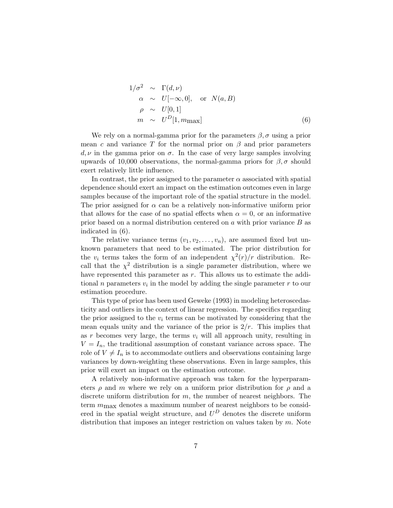$$
1/\sigma^2 \sim \Gamma(d,\nu)
$$
  
\n $\alpha \sim U[-\infty,0], \text{ or } N(a,B)$   
\n $\rho \sim U[0,1]$   
\n $m \sim U^D[1,m_{\text{max}}]$  (6)

We rely on a normal-gamma prior for the parameters  $\beta$ ,  $\sigma$  using a prior mean c and variance T for the normal prior on  $\beta$  and prior parameters  $d, \nu$  in the gamma prior on  $\sigma$ . In the case of very large samples involving upwards of 10,000 observations, the normal-gamma priors for  $\beta$ ,  $\sigma$  should exert relatively little influence.

In contrast, the prior assigned to the parameter  $\alpha$  associated with spatial dependence should exert an impact on the estimation outcomes even in large samples because of the important role of the spatial structure in the model. The prior assigned for  $\alpha$  can be a relatively non-informative uniform prior that allows for the case of no spatial effects when  $\alpha = 0$ , or an informative prior based on a normal distribution centered on  $a$  with prior variance  $B$  as indicated in (6).

The relative variance terms  $(v_1, v_2, \ldots, v_n)$ , are assumed fixed but unknown parameters that need to be estimated. The prior distribution for the  $v_i$  terms takes the form of an independent  $\chi^2(r)/r$  distribution. Recall that the  $\chi^2$  distribution is a single parameter distribution, where we have represented this parameter as r. This allows us to estimate the additional n parameters  $v_i$  in the model by adding the single parameter  $r$  to our estimation procedure.

This type of prior has been used Geweke (1993) in modeling heteroscedasticity and outliers in the context of linear regression. The specifics regarding the prior assigned to the  $v_i$  terms can be motivated by considering that the mean equals unity and the variance of the prior is  $2/r$ . This implies that as r becomes very large, the terms  $v_i$  will all approach unity, resulting in  $V = I_n$ , the traditional assumption of constant variance across space. The role of  $V \neq I_n$  is to accommodate outliers and observations containing large variances by down-weighting these observations. Even in large samples, this prior will exert an impact on the estimation outcome.

A relatively non-informative approach was taken for the hyperparameters  $\rho$  and m where we rely on a uniform prior distribution for  $\rho$  and a discrete uniform distribution for m, the number of nearest neighbors. The term  $m_{\text{max}}$  denotes a maximum number of nearest neighbors to be considered in the spatial weight structure, and  $U^D$  denotes the discrete uniform distribution that imposes an integer restriction on values taken by  $m$ . Note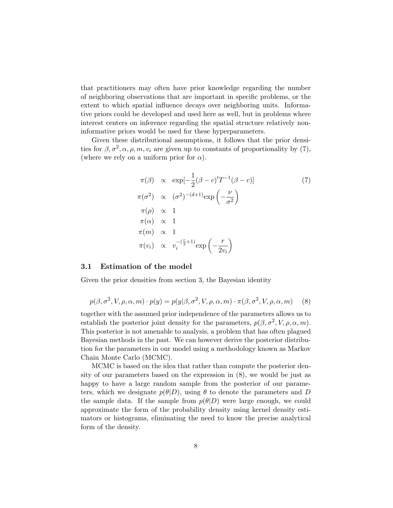that practitioners may often have prior knowledge regarding the number of neighboring observations that are important in specific problems, or the extent to which spatial influence decays over neighboring units. Informative priors could be developed and used here as well, but in problems where interest centers on inference regarding the spatial structure relatively noninformative priors would be used for these hyperparameters.

Given these distributional assumptions, it follows that the prior densities for  $\beta$ ,  $\sigma^2$ ,  $\alpha$ ,  $\rho$ ,  $m$ ,  $v_i$  are given up to constants of proportionality by (7), (where we rely on a uniform prior for  $\alpha$ ).

$$
\pi(\beta) \propto \exp[-\frac{1}{2}(\beta - c)'T^{-1}(\beta - c)]
$$
\n
$$
\pi(\sigma^2) \propto (\sigma^2)^{-(d+1)} \exp\left(-\frac{\nu}{\sigma^2}\right)
$$
\n
$$
\pi(\rho) \propto 1
$$
\n
$$
\pi(m) \propto 1
$$
\n
$$
\pi(w_i) \propto v_i^{-(\frac{r}{2}+1)} \exp\left(-\frac{r}{2v_i}\right)
$$
\n(7)

#### 3.1 Estimation of the model

Given the prior densities from section 3, the Bayesian identity

$$
p(\beta, \sigma^2, V, \rho, \alpha, m) \cdot p(y) = p(y|\beta, \sigma^2, V, \rho, \alpha, m) \cdot \pi(\beta, \sigma^2, V, \rho, \alpha, m)
$$
 (8)

together with the assumed prior independence of the parameters allows us to establish the posterior joint density for the parameters,  $p(\beta, \sigma^2, V, \rho, \alpha, m)$ . This posterior is not amenable to analysis, a problem that has often plagued Bayesian methods in the past. We can however derive the posterior distribution for the parameters in our model using a methodology known as Markov Chain Monte Carlo (MCMC).

MCMC is based on the idea that rather than compute the posterior density of our parameters based on the expression in (8), we would be just as happy to have a large random sample from the posterior of our parameters, which we designate  $p(\theta|D)$ , using  $\theta$  to denote the parameters and D the sample data. If the sample from  $p(\theta|D)$  were large enough, we could approximate the form of the probability density using kernel density estimators or histograms, eliminating the need to know the precise analytical form of the density.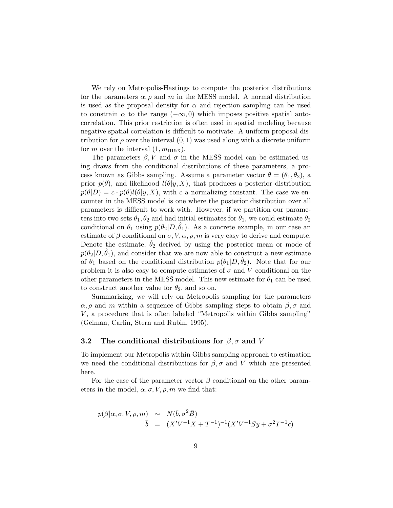We rely on Metropolis-Hastings to compute the posterior distributions for the parameters  $\alpha$ ,  $\rho$  and m in the MESS model. A normal distribution is used as the proposal density for  $\alpha$  and rejection sampling can be used to constrain  $\alpha$  to the range  $(-\infty, 0)$  which imposes positive spatial autocorrelation. This prior restriction is often used in spatial modeling because negative spatial correlation is difficult to motivate. A uniform proposal distribution for  $\rho$  over the interval  $(0, 1)$  was used along with a discrete uniform for m over the interval  $(1, m_{\text{max}})$ .

The parameters  $\beta$ , V and  $\sigma$  in the MESS model can be estimated using draws from the conditional distributions of these parameters, a process known as Gibbs sampling. Assume a parameter vector  $\theta = (\theta_1, \theta_2)$ , a prior  $p(\theta)$ , and likelihood  $l(\theta|y, X)$ , that produces a posterior distribution  $p(\theta|D) = c \cdot p(\theta)l(\theta|y, X)$ , with c a normalizing constant. The case we encounter in the MESS model is one where the posterior distribution over all parameters is difficult to work with. However, if we partition our parameters into two sets  $\theta_1, \theta_2$  and had initial estimates for  $\theta_1$ , we could estimate  $\theta_2$ conditional on  $\theta_1$  using  $p(\theta_2|D, \theta_1)$ . As a concrete example, in our case an estimate of  $\beta$  conditional on  $\sigma$ ,  $V$ ,  $\alpha$ ,  $\rho$ ,  $m$  is very easy to derive and compute. Denote the estimate,  $\theta_2$  derived by using the posterior mean or mode of  $p(\theta_2|D, \theta_1)$ , and consider that we are now able to construct a new estimate of  $\theta_1$  based on the conditional distribution  $p(\theta_1|D, \theta_2)$ . Note that for our problem it is also easy to compute estimates of  $\sigma$  and V conditional on the other parameters in the MESS model. This new estimate for  $\theta_1$  can be used to construct another value for  $\theta_2$ , and so on.

Summarizing, we will rely on Metropolis sampling for the parameters  $\alpha$ ,  $\rho$  and m within a sequence of Gibbs sampling steps to obtain  $\beta$ ,  $\sigma$  and  $V$ , a procedure that is often labeled "Metropolis within Gibbs sampling" (Gelman, Carlin, Stern and Rubin, 1995).

#### 3.2 The conditional distributions for  $\beta$ ,  $\sigma$  and V

To implement our Metropolis within Gibbs sampling approach to estimation we need the conditional distributions for  $\beta$ ,  $\sigma$  and V which are presented here.

For the case of the parameter vector  $\beta$  conditional on the other parameters in the model,  $\alpha, \sigma, V, \rho, m$  we find that:

$$
p(\beta|\alpha, \sigma, V, \rho, m) \sim N(\bar{b}, \sigma^2 \bar{B})
$$
  
\n
$$
\bar{b} = (X'V^{-1}X + T^{-1})^{-1}(X'V^{-1}Sy + \sigma^2 T^{-1}c)
$$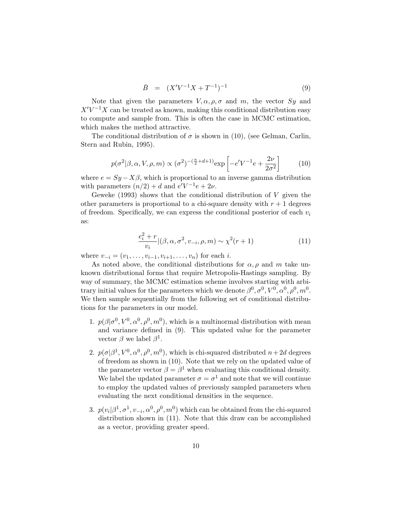$$
\bar{B} = (X'V^{-1}X + T^{-1})^{-1} \tag{9}
$$

Note that given the parameters  $V, \alpha, \rho, \sigma$  and m, the vector Sy and  $X'V^{-1}X$  can be treated as known, making this conditional distribution easy to compute and sample from. This is often the case in MCMC estimation, which makes the method attractive.

The conditional distribution of  $\sigma$  is shown in (10), (see Gelman, Carlin, Stern and Rubin, 1995).

$$
p(\sigma^2|\beta,\alpha,V,\rho,m) \propto (\sigma^2)^{-(\frac{n}{2}+d+1)} \exp\left[-e^{\prime}V^{-1}e + \frac{2\nu}{2\sigma^2}\right]
$$
 (10)

where  $e = Sy - X\beta$ , which is proportional to an inverse gamma distribution with parameters  $(n/2) + d$  and  $e'V^{-1}e + 2\nu$ .

Geweke  $(1993)$  shows that the conditional distribution of V given the other parameters is proportional to a chi-square density with  $r + 1$  degrees of freedom. Specifically, we can express the conditional posterior of each  $v_i$ as:

$$
\frac{e_i^2 + r}{v_i} | (\beta, \alpha, \sigma^2, v_{-i}, \rho, m) \sim \chi^2(r+1)
$$
\n(11)

where  $v_{-i} = (v_1, \ldots, v_{i-1}, v_{i+1}, \ldots, v_n)$  for each *i*.

As noted above, the conditional distributions for  $\alpha$ ,  $\rho$  and m take unknown distributional forms that require Metropolis-Hastings sampling. By way of summary, the MCMC estimation scheme involves starting with arbitrary initial values for the parameters which we denote  $\beta^0, \sigma^0, V^0, \alpha^0, \rho^0, m^0$ . We then sample sequentially from the following set of conditional distributions for the parameters in our model.

- 1.  $p(\beta|\sigma^0, V^0, \alpha^0, \rho^0, m^0)$ , which is a multinormal distribution with mean and variance defined in (9). This updated value for the parameter vector  $\beta$  we label  $\beta^1$ .
- 2.  $p(\sigma|\beta^1, V^0, \alpha^0, \rho^0, m^0)$ , which is chi-squared distributed  $n+2d$  degrees of freedom as shown in (10). Note that we rely on the updated value of the parameter vector  $\beta = \beta^1$  when evaluating this conditional density. We label the updated parameter  $\sigma = \sigma^1$  and note that we will continue to employ the updated values of previously sampled parameters when evaluating the next conditional densities in the sequence.
- 3.  $p(v_i|\beta^1, \sigma^1, v_{-i}, \alpha^0, \rho^0, m^0)$  which can be obtained from the chi-squared distribution shown in (11). Note that this draw can be accomplished as a vector, providing greater speed.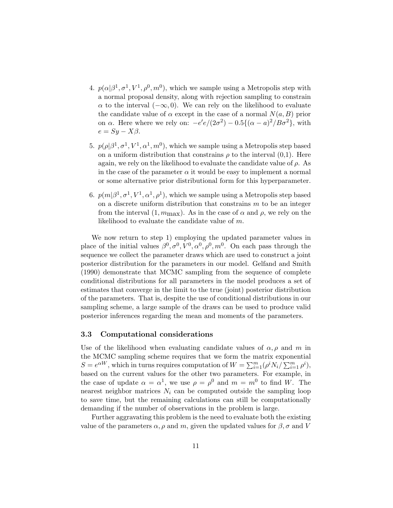- 4.  $p(\alpha|\beta^1, \sigma^1, V^1, \rho^0, m^0)$ , which we sample using a Metropolis step with a normal proposal density, along with rejection sampling to constrain  $\alpha$  to the interval  $(-\infty, 0)$ . We can rely on the likelihood to evaluate the candidate value of  $\alpha$  except in the case of a normal  $N(a, B)$  prior on  $\alpha$ . Here where we rely on:  $-e'e/(2\sigma^2) - 0.5\{(\alpha - a)^2/B\sigma^2\}$ , with  $e = Sy - X\beta.$
- 5.  $p(\rho|\beta^1, \sigma^1, V^1, \alpha^1, m^0)$ , which we sample using a Metropolis step based on a uniform distribution that constrains  $\rho$  to the interval  $(0,1)$ . Here again, we rely on the likelihood to evaluate the candidate value of  $\rho$ . As in the case of the parameter  $\alpha$  it would be easy to implement a normal or some alternative prior distributional form for this hyperparameter.
- 6.  $p(m|\beta^1, \sigma^1, V^1, \alpha^1, \rho^1)$ , which we sample using a Metropolis step based on a discrete uniform distribution that constrains  $m$  to be an integer from the interval  $(1, m_{\text{max}})$ . As in the case of  $\alpha$  and  $\rho$ , we rely on the likelihood to evaluate the candidate value of m.

We now return to step 1) employing the updated parameter values in place of the initial values  $\beta^0, \sigma^0, V^0, \alpha^0, \rho^0, m^0$ . On each pass through the sequence we collect the parameter draws which are used to construct a joint posterior distribution for the parameters in our model. Gelfand and Smith (1990) demonstrate that MCMC sampling from the sequence of complete conditional distributions for all parameters in the model produces a set of estimates that converge in the limit to the true (joint) posterior distribution of the parameters. That is, despite the use of conditional distributions in our sampling scheme, a large sample of the draws can be used to produce valid posterior inferences regarding the mean and moments of the parameters.

### 3.3 Computational considerations

Use of the likelihood when evaluating candidate values of  $\alpha, \rho$  and m in the MCMC sampling scheme requires that we form the matrix exponential  $S = e^{\alpha W}$ , which in turns requires computation of  $W = \sum_{i=1}^{m} (\rho^i N_i / \sum_{i=1}^{m} \rho^i)$ , based on the current values for the other two parameters. For example, in the case of update  $\alpha = \alpha^1$ , we use  $\rho = \rho^0$  and  $m = m^0$  to find W. The nearest neighbor matrices  $N_i$  can be computed outside the sampling loop to save time, but the remaining calculations can still be computationally demanding if the number of observations in the problem is large.

Further aggravating this problem is the need to evaluate both the existing value of the parameters  $\alpha$ ,  $\rho$  and m, given the updated values for  $\beta$ ,  $\sigma$  and V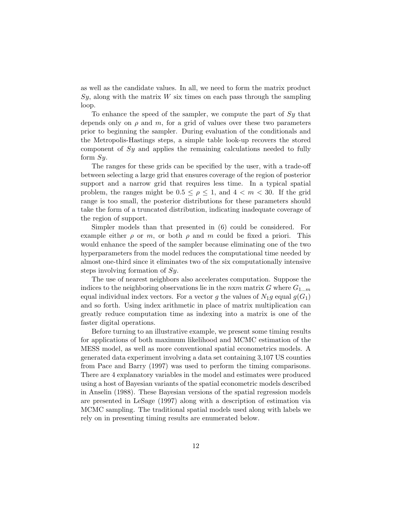as well as the candidate values. In all, we need to form the matrix product  $Sy$ , along with the matrix  $W$  six times on each pass through the sampling loop.

To enhance the speed of the sampler, we compute the part of  $Sy$  that depends only on  $\rho$  and m, for a grid of values over these two parameters prior to beginning the sampler. During evaluation of the conditionals and the Metropolis-Hastings steps, a simple table look-up recovers the stored component of Sy and applies the remaining calculations needed to fully form  $Sy$ .

The ranges for these grids can be specified by the user, with a trade-off between selecting a large grid that ensures coverage of the region of posterior support and a narrow grid that requires less time. In a typical spatial problem, the ranges might be  $0.5 \leq \rho \leq 1$ , and  $4 \leq m \leq 30$ . If the grid range is too small, the posterior distributions for these parameters should take the form of a truncated distribution, indicating inadequate coverage of the region of support.

Simpler models than that presented in (6) could be considered. For example either  $\rho$  or m, or both  $\rho$  and m could be fixed a priori. This would enhance the speed of the sampler because eliminating one of the two hyperparameters from the model reduces the computational time needed by almost one-third since it eliminates two of the six computationally intensive steps involving formation of Sy.

The use of nearest neighbors also accelerates computation. Suppose the indices to the neighboring observations lie in the  $n \times m$  matrix G where  $G_{1...m}$ equal individual index vectors. For a vector g the values of  $N_1g$  equal  $g(G_1)$ and so forth. Using index arithmetic in place of matrix multiplication can greatly reduce computation time as indexing into a matrix is one of the faster digital operations.

Before turning to an illustrative example, we present some timing results for applications of both maximum likelihood and MCMC estimation of the MESS model, as well as more conventional spatial econometrics models. A generated data experiment involving a data set containing 3,107 US counties from Pace and Barry (1997) was used to perform the timing comparisons. There are 4 explanatory variables in the model and estimates were produced using a host of Bayesian variants of the spatial econometric models described in Anselin (1988). These Bayesian versions of the spatial regression models are presented in LeSage (1997) along with a description of estimation via MCMC sampling. The traditional spatial models used along with labels we rely on in presenting timing results are enumerated below.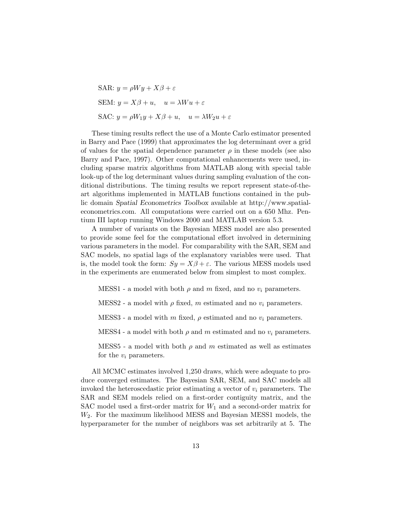SAR: 
$$
y = \rho Wy + X\beta + \varepsilon
$$
  
\nSEM:  $y = X\beta + u$ ,  $u = \lambda Wu + \varepsilon$   
\nSAC:  $y = \rho W_1 y + X\beta + u$ ,  $u = \lambda W_2 u + \varepsilon$ 

These timing results reflect the use of a Monte Carlo estimator presented in Barry and Pace (1999) that approximates the log determinant over a grid of values for the spatial dependence parameter  $\rho$  in these models (see also Barry and Pace, 1997). Other computational enhancements were used, including sparse matrix algorithms from MATLAB along with special table look-up of the log determinant values during sampling evaluation of the conditional distributions. The timing results we report represent state-of-theart algorithms implemented in MATLAB functions contained in the public domain Spatial Econometrics Toolbox available at http://www.spatialeconometrics.com. All computations were carried out on a 650 Mhz. Pentium III laptop running Windows 2000 and MATLAB version 5.3.

A number of variants on the Bayesian MESS model are also presented to provide some feel for the computational effort involved in determining various parameters in the model. For comparability with the SAR, SEM and SAC models, no spatial lags of the explanatory variables were used. That is, the model took the form:  $Sy = X\beta + \varepsilon$ . The various MESS models used in the experiments are enumerated below from simplest to most complex.

MESS1 - a model with both  $\rho$  and  $m$  fixed, and no  $v_i$  parameters.

MESS2 - a model with  $\rho$  fixed, m estimated and no  $v_i$  parameters.

MESS3 - a model with m fixed,  $\rho$  estimated and no  $v_i$  parameters.

MESS4 - a model with both  $\rho$  and m estimated and no  $v_i$  parameters.

MESS5 - a model with both  $\rho$  and m estimated as well as estimates for the  $v_i$  parameters.

All MCMC estimates involved 1,250 draws, which were adequate to produce converged estimates. The Bayesian SAR, SEM, and SAC models all invoked the heteroscedastic prior estimating a vector of  $v_i$  parameters. The SAR and SEM models relied on a first-order contiguity matrix, and the SAC model used a first-order matrix for  $W_1$  and a second-order matrix for W2. For the maximum likelihood MESS and Bayesian MESS1 models, the hyperparameter for the number of neighbors was set arbitrarily at 5. The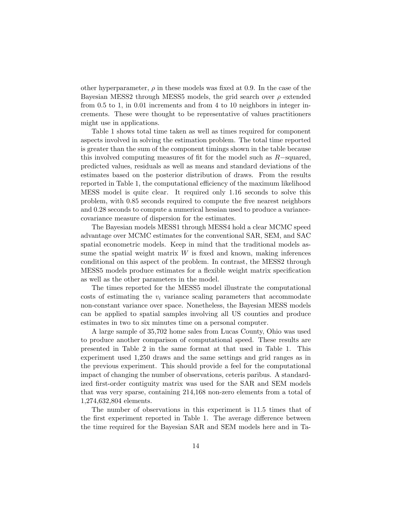other hyperparameter,  $\rho$  in these models was fixed at 0.9. In the case of the Bayesian MESS2 through MESS5 models, the grid search over  $\rho$  extended from 0.5 to 1, in 0.01 increments and from 4 to 10 neighbors in integer increments. These were thought to be representative of values practitioners might use in applications.

Table 1 shows total time taken as well as times required for component aspects involved in solving the estimation problem. The total time reported is greater than the sum of the component timings shown in the table because this involved computing measures of fit for the model such as  $R$ -squared, predicted values, residuals as well as means and standard deviations of the estimates based on the posterior distribution of draws. From the results reported in Table 1, the computational efficiency of the maximum likelihood MESS model is quite clear. It required only 1.16 seconds to solve this problem, with 0.85 seconds required to compute the five nearest neighbors and 0.28 seconds to compute a numerical hessian used to produce a variancecovariance measure of dispersion for the estimates.

The Bayesian models MESS1 through MESS4 hold a clear MCMC speed advantage over MCMC estimates for the conventional SAR, SEM, and SAC spatial econometric models. Keep in mind that the traditional models assume the spatial weight matrix  $W$  is fixed and known, making inferences conditional on this aspect of the problem. In contrast, the MESS2 through MESS5 models produce estimates for a flexible weight matrix specification as well as the other parameters in the model.

The times reported for the MESS5 model illustrate the computational costs of estimating the  $v_i$  variance scaling parameters that accommodate non-constant variance over space. Nonetheless, the Bayesian MESS models can be applied to spatial samples involving all US counties and produce estimates in two to six minutes time on a personal computer.

A large sample of 35,702 home sales from Lucas County, Ohio was used to produce another comparison of computational speed. These results are presented in Table 2 in the same format at that used in Table 1. This experiment used 1,250 draws and the same settings and grid ranges as in the previous experiment. This should provide a feel for the computational impact of changing the number of observations, ceteris paribus. A standardized first-order contiguity matrix was used for the SAR and SEM models that was very sparse, containing 214,168 non-zero elements from a total of 1,274,632,804 elements.

The number of observations in this experiment is 11.5 times that of the first experiment reported in Table 1. The average difference between the time required for the Bayesian SAR and SEM models here and in Ta-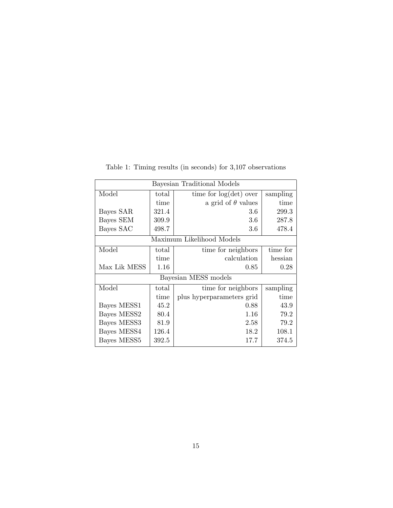| Bayesian Traditional Models |       |                                      |          |  |  |
|-----------------------------|-------|--------------------------------------|----------|--|--|
| Model                       | total | time for $log(det)$ over<br>sampling |          |  |  |
|                             | time  | a grid of $\theta$ values            | time     |  |  |
| Bayes SAR                   | 321.4 | 3.6                                  | 299.3    |  |  |
| Bayes SEM                   | 309.9 | 3.6                                  | 287.8    |  |  |
| Bayes SAC                   | 498.7 | 3.6                                  | 478.4    |  |  |
|                             |       | Maximum Likelihood Models            |          |  |  |
| Model                       | total | time for neighbors                   | time for |  |  |
|                             | time  | calculation                          | hessian  |  |  |
| Max Lik MESS                | 1.16  | 0.85                                 | 0.28     |  |  |
| Bayesian MESS models        |       |                                      |          |  |  |
| Model                       | total | time for neighbors                   | sampling |  |  |
|                             | time  | plus hyperparameters grid            | time     |  |  |
| Bayes MESS1                 | 45.2  | 0.88                                 | 43.9     |  |  |
| Bayes MESS2                 | 80.4  | 1.16                                 | 79.2     |  |  |
| Bayes MESS3                 | 81.9  | 2.58                                 | 79.2     |  |  |
| Bayes MESS4                 | 126.4 | 18.2                                 | 108.1    |  |  |
| Bayes MESS5                 | 392.5 | 17.7                                 | 374.5    |  |  |

Table 1: Timing results (in seconds) for 3,107 observations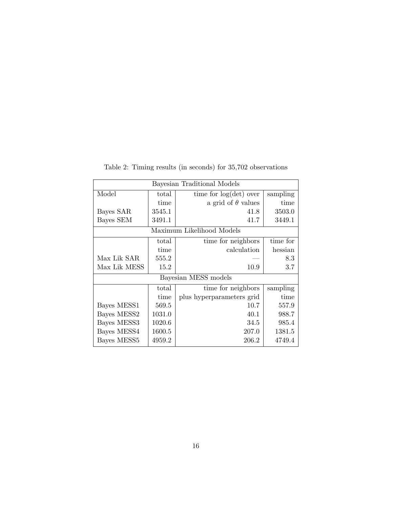| Bayesian Traditional Models |        |                                      |          |  |  |
|-----------------------------|--------|--------------------------------------|----------|--|--|
| Model                       | total  | time for $log(det)$ over<br>sampling |          |  |  |
|                             | time   | a grid of $\theta$ values            | time     |  |  |
| Bayes SAR                   | 3545.1 | 41.8                                 | 3503.0   |  |  |
| Bayes SEM                   | 3491.1 | 41.7                                 | 3449.1   |  |  |
| Maximum Likelihood Models   |        |                                      |          |  |  |
|                             | total  | time for neighbors                   | time for |  |  |
|                             | time   | calculation                          | hessian  |  |  |
| Max Lik SAR                 | 555.2  |                                      | 8.3      |  |  |
| Max Lik MESS                | 15.2   | 10.9                                 | 3.7      |  |  |
|                             |        | Bayesian MESS models                 |          |  |  |
|                             | total  | time for neighbors                   | sampling |  |  |
|                             | time   | plus hyperparameters grid            | time     |  |  |
| Bayes MESS1                 | 569.5  | 10.7                                 | 557.9    |  |  |
| Bayes MESS2                 | 1031.0 | 40.1                                 | 988.7    |  |  |
| Bayes MESS3                 | 1020.6 | 34.5                                 | 985.4    |  |  |
| Bayes MESS4                 | 1600.5 | 207.0                                | 1381.5   |  |  |
| Bayes MESS <sub>5</sub>     | 4959.2 | 206.2                                | 4749.4   |  |  |

Table 2: Timing results (in seconds) for 35,702 observations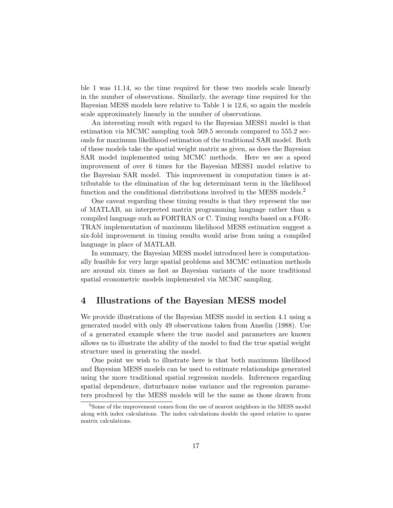ble 1 was 11.14, so the time required for these two models scale linearly in the number of observations. Similarly, the average time required for the Bayesian MESS models here relative to Table 1 is 12.6, so again the models scale approximately linearly in the number of observations.

An interesting result with regard to the Bayesian MESS1 model is that estimation via MCMC sampling took 569.5 seconds compared to 555.2 seconds for maximum likelihood estimation of the traditional SAR model. Both of these models take the spatial weight matrix as given, as does the Bayesian SAR model implemented using MCMC methods. Here we see a speed improvement of over 6 times for the Bayesian MESS1 model relative to the Bayesian SAR model. This improvement in computation times is attributable to the elimination of the log determinant term in the likelihood function and the conditional distributions involved in the MESS models.<sup>2</sup>

One caveat regarding these timing results is that they represent the use of MATLAB, an interpreted matrix programming language rather than a compiled language such as FORTRAN or C. Timing results based on a FOR-TRAN implementation of maximum likelihood MESS estimation suggest a six-fold improvement in timing results would arise from using a compiled language in place of MATLAB.

In summary, the Bayesian MESS model introduced here is computationally feasible for very large spatial problems and MCMC estimation methods are around six times as fast as Bayesian variants of the more traditional spatial econometric models implemented via MCMC sampling.

## 4 Illustrations of the Bayesian MESS model

We provide illustrations of the Bayesian MESS model in section 4.1 using a generated model with only 49 observations taken from Anselin (1988). Use of a generated example where the true model and parameters are known allows us to illustrate the ability of the model to find the true spatial weight structure used in generating the model.

One point we wish to illustrate here is that both maximum likelihood and Bayesian MESS models can be used to estimate relationships generated using the more traditional spatial regression models. Inferences regarding spatial dependence, disturbance noise variance and the regression parameters produced by the MESS models will be the same as those drawn from

<sup>&</sup>lt;sup>2</sup>Some of the improvement comes from the use of nearest neighbors in the MESS model along with index calculations. The index calculations double the speed relative to sparse matrix calculations.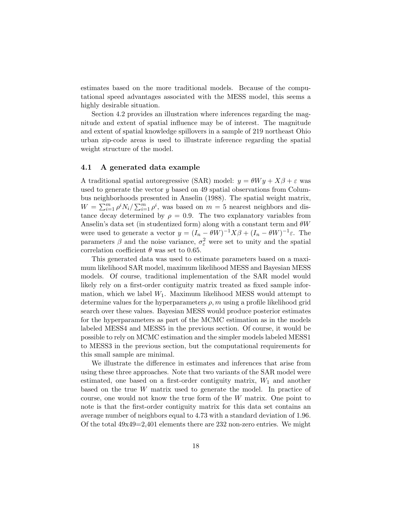estimates based on the more traditional models. Because of the computational speed advantages associated with the MESS model, this seems a highly desirable situation.

Section 4.2 provides an illustration where inferences regarding the magnitude and extent of spatial influence may be of interest. The magnitude and extent of spatial knowledge spillovers in a sample of 219 northeast Ohio urban zip-code areas is used to illustrate inference regarding the spatial weight structure of the model.

#### 4.1 A generated data example

A traditional spatial autoregressive (SAR) model:  $y = \theta Wy + X\beta + \varepsilon$  was used to generate the vector y based on 49 spatial observations from Columbus neighborhoods presented in Anselin (1988). The spatial weight matrix,  $W = \sum_{i=1}^{m} \rho^{i} N_i / \sum_{i=1}^{m} \rho^{i}$ , was based on  $m = 5$  nearest neighbors and distance decay determined by  $\rho = 0.9$ . The two explanatory variables from Anselin's data set (in studentized form) along with a constant term and  $\theta W$ were used to generate a vector  $y = (I_n - \theta W)^{-1} X \beta + (I_n - \theta W)^{-1} \varepsilon$ . The parameters  $\beta$  and the noise variance,  $\sigma_{\varepsilon}^2$  were set to unity and the spatial correlation coefficient  $\theta$  was set to 0.65.

This generated data was used to estimate parameters based on a maximum likelihood SAR model, maximum likelihood MESS and Bayesian MESS models. Of course, traditional implementation of the SAR model would likely rely on a first-order contiguity matrix treated as fixed sample information, which we label  $W_1$ . Maximum likelihood MESS would attempt to determine values for the hyperparameters  $\rho$ , m using a profile likelihood grid search over these values. Bayesian MESS would produce posterior estimates for the hyperparameters as part of the MCMC estimation as in the models labeled MESS4 and MESS5 in the previous section. Of course, it would be possible to rely on MCMC estimation and the simpler models labeled MESS1 to MESS3 in the previous section, but the computational requirements for this small sample are minimal.

We illustrate the difference in estimates and inferences that arise from using these three approaches. Note that two variants of the SAR model were estimated, one based on a first-order contiguity matrix,  $W_1$  and another based on the true W matrix used to generate the model. In practice of course, one would not know the true form of the W matrix. One point to note is that the first-order contiguity matrix for this data set contains an average number of neighbors equal to 4.73 with a standard deviation of 1.96. Of the total  $49x49=2,401$  elements there are 232 non-zero entries. We might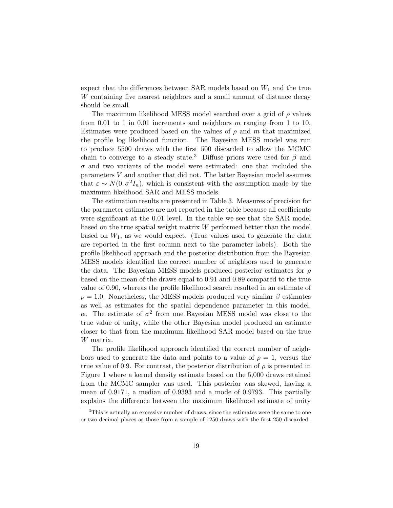expect that the differences between SAR models based on  $W_1$  and the true W containing five nearest neighbors and a small amount of distance decay should be small.

The maximum likelihood MESS model searched over a grid of  $\rho$  values from 0.01 to 1 in 0.01 increments and neighbors  $m$  ranging from 1 to 10. Estimates were produced based on the values of  $\rho$  and m that maximized the profile log likelihood function. The Bayesian MESS model was run to produce 5500 draws with the first 500 discarded to allow the MCMC chain to converge to a steady state.<sup>3</sup> Diffuse priors were used for  $\beta$  and  $\sigma$  and two variants of the model were estimated: one that included the parameters V and another that did not. The latter Bayesian model assumes that  $\varepsilon \sim N(0, \sigma^2 I_n)$ , which is consistent with the assumption made by the maximum likelihood SAR and MESS models.

The estimation results are presented in Table 3. Measures of precision for the parameter estimates are not reported in the table because all coefficients were significant at the 0.01 level. In the table we see that the SAR model based on the true spatial weight matrix W performed better than the model based on  $W_1$ , as we would expect. (True values used to generate the data are reported in the first column next to the parameter labels). Both the profile likelihood approach and the posterior distribution from the Bayesian MESS models identified the correct number of neighbors used to generate the data. The Bayesian MESS models produced posterior estimates for  $\rho$ based on the mean of the draws equal to 0.91 and 0.89 compared to the true value of 0.90, whereas the profile likelihood search resulted in an estimate of  $\rho = 1.0$ . Nonetheless, the MESS models produced very similar  $\beta$  estimates as well as estimates for the spatial dependence parameter in this model,  $\alpha$ . The estimate of  $\sigma^2$  from one Bayesian MESS model was close to the true value of unity, while the other Bayesian model produced an estimate closer to that from the maximum likelihood SAR model based on the true W matrix.

The profile likelihood approach identified the correct number of neighbors used to generate the data and points to a value of  $\rho = 1$ , versus the true value of 0.9. For contrast, the posterior distribution of  $\rho$  is presented in Figure 1 where a kernel density estimate based on the 5,000 draws retained from the MCMC sampler was used. This posterior was skewed, having a mean of 0.9171, a median of 0.9393 and a mode of 0.9793. This partially explains the difference between the maximum likelihood estimate of unity

<sup>&</sup>lt;sup>3</sup>This is actually an excessive number of draws, since the estimates were the same to one or two decimal places as those from a sample of 1250 draws with the first 250 discarded.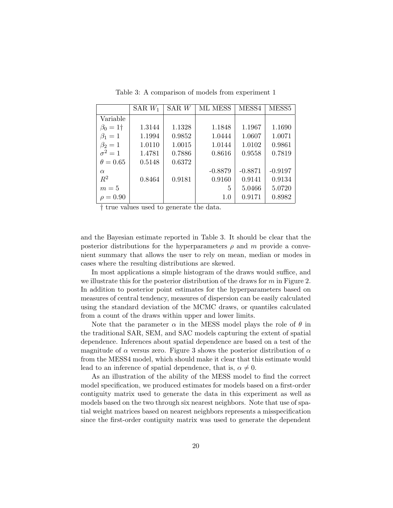|                 | SAR $W_1$ | SAR W  | ML MESS   | MESS4     | MESS <sub>5</sub> |
|-----------------|-----------|--------|-----------|-----------|-------------------|
| Variable        |           |        |           |           |                   |
| $\beta_0 = 1$ † | 1.3144    | 1.1328 | 1.1848    | 1.1967    | 1.1690            |
| $\beta_1=1$     | 1.1994    | 0.9852 | 1.0444    | 1.0607    | 1.0071            |
| $\beta_2=1$     | 1.0110    | 1.0015 | 1.0144    | 1.0102    | 0.9861            |
| $\sigma^2=1$    | 1.4781    | 0.7886 | 0.8616    | 0.9558    | 0.7819            |
| $\theta = 0.65$ | 0.5148    | 0.6372 |           |           |                   |
| $\alpha$        |           |        | $-0.8879$ | $-0.8871$ | $-0.9197$         |
| $R^2$           | 0.8464    | 0.9181 | 0.9160    | 0.9141    | 0.9134            |
| $m=5$           |           |        | 5         | 5.0466    | 5.0720            |
| $\rho = 0.90$   |           |        | 1.0       | 0.9171    | 0.8982            |

Table 3: A comparison of models from experiment 1

† true values used to generate the data.

and the Bayesian estimate reported in Table 3. It should be clear that the posterior distributions for the hyperparameters  $\rho$  and m provide a convenient summary that allows the user to rely on mean, median or modes in cases where the resulting distributions are skewed.

In most applications a simple histogram of the draws would suffice, and we illustrate this for the posterior distribution of the draws for  $m$  in Figure 2. In addition to posterior point estimates for the hyperparameters based on measures of central tendency, measures of dispersion can be easily calculated using the standard deviation of the MCMC draws, or quantiles calculated from a count of the draws within upper and lower limits.

Note that the parameter  $\alpha$  in the MESS model plays the role of  $\theta$  in the traditional SAR, SEM, and SAC models capturing the extent of spatial dependence. Inferences about spatial dependence are based on a test of the magnitude of  $\alpha$  versus zero. Figure 3 shows the posterior distribution of  $\alpha$ from the MESS4 model, which should make it clear that this estimate would lead to an inference of spatial dependence, that is,  $\alpha \neq 0$ .

As an illustration of the ability of the MESS model to find the correct model specification, we produced estimates for models based on a first-order contiguity matrix used to generate the data in this experiment as well as models based on the two through six nearest neighbors. Note that use of spatial weight matrices based on nearest neighbors represents a misspecification since the first-order contiguity matrix was used to generate the dependent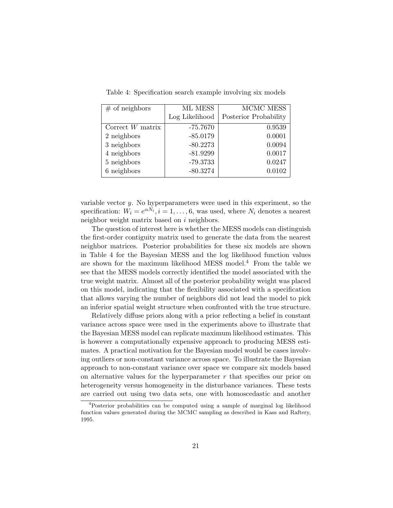| $#$ of neighbors   | ML MESS        | <b>MCMC MESS</b>      |
|--------------------|----------------|-----------------------|
|                    | Log Likelihood | Posterior Probability |
| Correct $W$ matrix | $-75.7670$     | 0.9539                |
| 2 neighbors        | $-85.0179$     | 0.0001                |
| 3 neighbors        | $-80.2273$     | 0.0094                |
| 4 neighbors        | $-81.9299$     | 0.0017                |
| 5 neighbors        | $-79.3733$     | 0.0247                |
| 6 neighbors        | $-80.3274$     | 0.0102                |

Table 4: Specification search example involving six models

variable vector  $y$ . No hyperparameters were used in this experiment, so the specification:  $W_i = e^{\alpha N_i}, i = 1, ..., 6$ , was used, where  $N_i$  denotes a nearest neighbor weight matrix based on i neighbors.

The question of interest here is whether the MESS models can distinguish the first-order contiguity matrix used to generate the data from the nearest neighbor matrices. Posterior probabilities for these six models are shown in Table 4 for the Bayesian MESS and the log likelihood function values are shown for the maximum likelihood MESS model.<sup>4</sup> From the table we see that the MESS models correctly identified the model associated with the true weight matrix. Almost all of the posterior probability weight was placed on this model, indicating that the flexibility associated with a specification that allows varying the number of neighbors did not lead the model to pick an inferior spatial weight structure when confronted with the true structure.

Relatively diffuse priors along with a prior reflecting a belief in constant variance across space were used in the experiments above to illustrate that the Bayesian MESS model can replicate maximum likelihood estimates. This is however a computationally expensive approach to producing MESS estimates. A practical motivation for the Bayesian model would be cases involving outliers or non-constant variance across space. To illustrate the Bayesian approach to non-constant variance over space we compare six models based on alternative values for the hyperparameter  $r$  that specifies our prior on heterogeneity versus homogeneity in the disturbance variances. These tests are carried out using two data sets, one with homoscedastic and another

<sup>4</sup>Posterior probabilities can be computed using a sample of marginal log likelihood function values generated during the MCMC sampling as described in Kass and Raftery, 1995.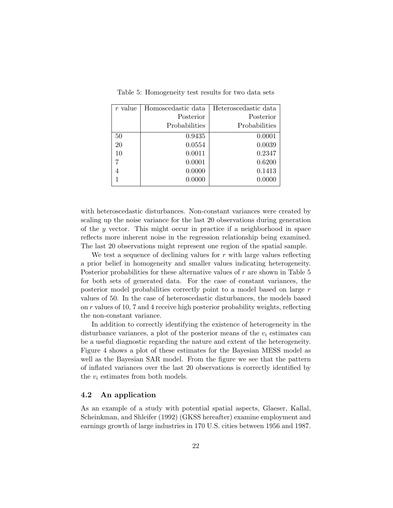| r value | Homoscedastic data | Heteroscedastic data |
|---------|--------------------|----------------------|
|         | Posterior          | Posterior            |
|         | Probabilities      | Probabilities        |
| 50      | 0.9435             | 0.0001               |
| 20      | 0.0554             | 0.0039               |
| 10      | 0.0011             | 0.2347               |
|         | 0.0001             | 0.6200               |
|         | 0.0000             | 0.1413               |
|         | 0.0000             | 0.0000               |

Table 5: Homogeneity test results for two data sets

with heteroscedastic disturbances. Non-constant variances were created by scaling up the noise variance for the last 20 observations during generation of the y vector. This might occur in practice if a neighborhood in space reflects more inherent noise in the regression relationship being examined. The last 20 observations might represent one region of the spatial sample.

We test a sequence of declining values for  $r$  with large values reflecting a prior belief in homogeneity and smaller values indicating heterogeneity. Posterior probabilities for these alternative values of  $r$  are shown in Table 5 for both sets of generated data. For the case of constant variances, the posterior model probabilities correctly point to a model based on large r values of 50. In the case of heteroscedastic disturbances, the models based on r values of 10, 7 and 4 receive high posterior probability weights, reflecting the non-constant variance.

In addition to correctly identifying the existence of heterogeneity in the disturbance variances, a plot of the posterior means of the  $v_i$  estimates can be a useful diagnostic regarding the nature and extent of the heterogeneity. Figure 4 shows a plot of these estimates for the Bayesian MESS model as well as the Bayesian SAR model. From the figure we see that the pattern of inflated variances over the last 20 observations is correctly identified by the  $v_i$  estimates from both models.

#### 4.2 An application

As an example of a study with potential spatial aspects, Glaeser, Kallal, Scheinkman, and Shleifer (1992) (GKSS hereafter) examine employment and earnings growth of large industries in 170 U.S. cities between 1956 and 1987.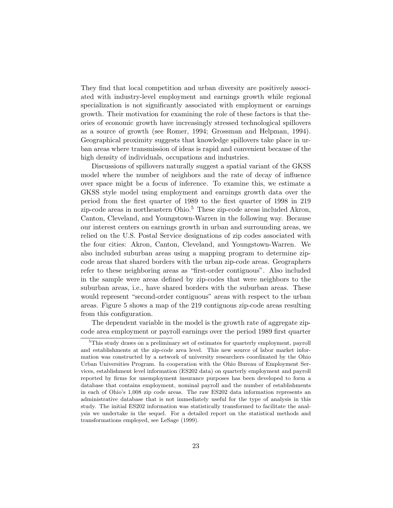They find that local competition and urban diversity are positively associated with industry-level employment and earnings growth while regional specialization is not significantly associated with employment or earnings growth. Their motivation for examining the role of these factors is that theories of economic growth have increasingly stressed technological spillovers as a source of growth (see Romer, 1994; Grossman and Helpman, 1994). Geographical proximity suggests that knowledge spillovers take place in urban areas where transmission of ideas is rapid and convenient because of the high density of individuals, occupations and industries.

Discussions of spillovers naturally suggest a spatial variant of the GKSS model where the number of neighbors and the rate of decay of influence over space might be a focus of inference. To examine this, we estimate a GKSS style model using employment and earnings growth data over the period from the first quarter of 1989 to the first quarter of 1998 in 219 zip-code areas in northeastern Ohio.<sup>5</sup> These zip-code areas included Akron, Canton, Cleveland, and Youngstown-Warren in the following way. Because our interest centers on earnings growth in urban and surrounding areas, we relied on the U.S. Postal Service designations of zip codes associated with the four cities: Akron, Canton, Cleveland, and Youngstown-Warren. We also included suburban areas using a mapping program to determine zipcode areas that shared borders with the urban zip-code areas. Geographers refer to these neighboring areas as "first-order contiguous". Also included in the sample were areas defined by zip-codes that were neighbors to the suburban areas, i.e., have shared borders with the suburban areas. These would represent "second-order contiguous" areas with respect to the urban areas. Figure 5 shows a map of the 219 contiguous zip-code areas resulting from this configuration.

The dependent variable in the model is the growth rate of aggregate zipcode area employment or payroll earnings over the period 1989 first quarter

<sup>&</sup>lt;sup>5</sup>This study draws on a preliminary set of estimates for quarterly employment, payroll and establishments at the zip-code area level. This new source of labor market information was constructed by a network of university researchers coordinated by the Ohio Urban Universities Program. In cooperation with the Ohio Bureau of Employment Services, establishment level information (ES202 data) on quarterly employment and payroll reported by firms for unemployment insurance purposes has been developed to form a database that contains employment, nominal payroll and the number of establishments in each of Ohio's 1,008 zip code areas. The raw ES202 data information represents an administrative database that is not immediately useful for the type of analysis in this study. The initial ES202 information was statistically transformed to facilitate the analysis we undertake in the sequel. For a detailed report on the statistical methods and transformations employed, see LeSage (1999).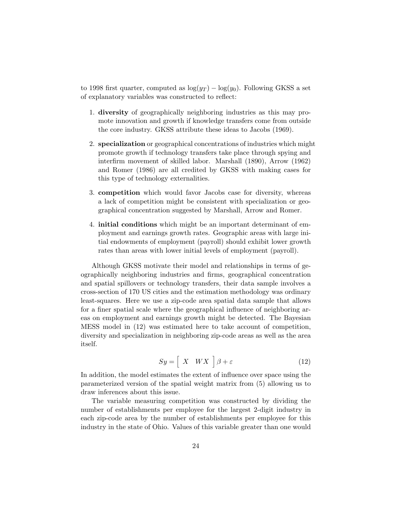to 1998 first quarter, computed as  $\log(y_T) - \log(y_0)$ . Following GKSS a set of explanatory variables was constructed to reflect:

- 1. diversity of geographically neighboring industries as this may promote innovation and growth if knowledge transfers come from outside the core industry. GKSS attribute these ideas to Jacobs (1969).
- 2. specialization or geographical concentrations of industries which might promote growth if technology transfers take place through spying and interfirm movement of skilled labor. Marshall (1890), Arrow (1962) and Romer (1986) are all credited by GKSS with making cases for this type of technology externalities.
- 3. competition which would favor Jacobs case for diversity, whereas a lack of competition might be consistent with specialization or geographical concentration suggested by Marshall, Arrow and Romer.
- 4. initial conditions which might be an important determinant of employment and earnings growth rates. Geographic areas with large initial endowments of employment (payroll) should exhibit lower growth rates than areas with lower initial levels of employment (payroll).

Although GKSS motivate their model and relationships in terms of geographically neighboring industries and firms, geographical concentration and spatial spillovers or technology transfers, their data sample involves a cross-section of 170 US cities and the estimation methodology was ordinary least-squares. Here we use a zip-code area spatial data sample that allows for a finer spatial scale where the geographical influence of neighboring areas on employment and earnings growth might be detected. The Bayesian MESS model in (12) was estimated here to take account of competition, diversity and specialization in neighboring zip-code areas as well as the area itself.

$$
Sy = \left[ \begin{array}{cc} X & W X \end{array} \right] \beta + \varepsilon \tag{12}
$$

In addition, the model estimates the extent of influence over space using the parameterized version of the spatial weight matrix from (5) allowing us to draw inferences about this issue.

The variable measuring competition was constructed by dividing the number of establishments per employee for the largest 2-digit industry in each zip-code area by the number of establishments per employee for this industry in the state of Ohio. Values of this variable greater than one would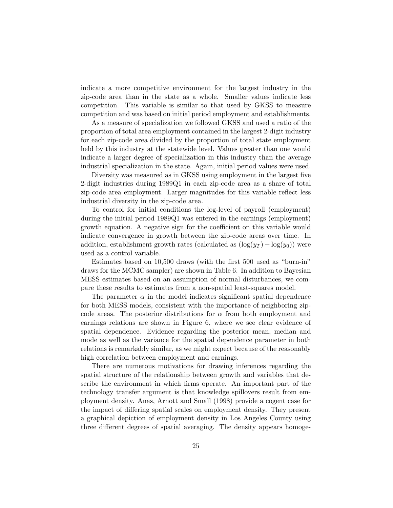indicate a more competitive environment for the largest industry in the zip-code area than in the state as a whole. Smaller values indicate less competition. This variable is similar to that used by GKSS to measure competition and was based on initial period employment and establishments.

As a measure of specialization we followed GKSS and used a ratio of the proportion of total area employment contained in the largest 2-digit industry for each zip-code area divided by the proportion of total state employment held by this industry at the statewide level. Values greater than one would indicate a larger degree of specialization in this industry than the average industrial specialization in the state. Again, initial period values were used.

Diversity was measured as in GKSS using employment in the largest five 2-digit industries during 1989Q1 in each zip-code area as a share of total zip-code area employment. Larger magnitudes for this variable reflect less industrial diversity in the zip-code area.

To control for initial conditions the log-level of payroll (employment) during the initial period 1989Q1 was entered in the earnings (employment) growth equation. A negative sign for the coefficient on this variable would indicate convergence in growth between the zip-code areas over time. In addition, establishment growth rates (calculated as  $(\log(y_T) - \log(y_0))$ ) were used as a control variable.

Estimates based on 10,500 draws (with the first 500 used as "burn-in" draws for the MCMC sampler) are shown in Table 6. In addition to Bayesian MESS estimates based on an assumption of normal disturbances, we compare these results to estimates from a non-spatial least-squares model.

The parameter  $\alpha$  in the model indicates significant spatial dependence for both MESS models, consistent with the importance of neighboring zipcode areas. The posterior distributions for  $\alpha$  from both employment and earnings relations are shown in Figure 6, where we see clear evidence of spatial dependence. Evidence regarding the posterior mean, median and mode as well as the variance for the spatial dependence parameter in both relations is remarkably similar, as we might expect because of the reasonably high correlation between employment and earnings.

There are numerous motivations for drawing inferences regarding the spatial structure of the relationship between growth and variables that describe the environment in which firms operate. An important part of the technology transfer argument is that knowledge spillovers result from employment density. Anas, Arnott and Small (1998) provide a cogent case for the impact of differing spatial scales on employment density. They present a graphical depiction of employment density in Los Angeles County using three different degrees of spatial averaging. The density appears homoge-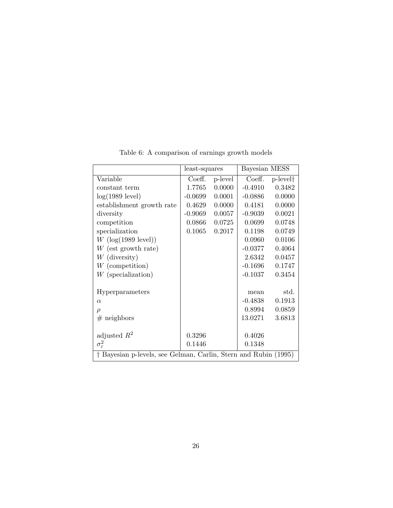|                                                                 | least-squares |         | Bayesian MESS |                      |
|-----------------------------------------------------------------|---------------|---------|---------------|----------------------|
| Variable                                                        | Coeff.        | p-level | Coeff.        | p-level <sup>†</sup> |
| constant term                                                   | 1.7765        | 0.0000  | $-0.4910$     | 0.3482               |
| $log(1989$ level)                                               | $-0.0699$     | 0.0001  | $-0.0886$     | 0.0000               |
| establishment growth rate                                       | 0.4629        | 0.0000  | 0.4181        | 0.0000               |
| diversity                                                       | $-0.9069$     | 0.0057  | $-0.9039$     | 0.0021               |
| competition                                                     | 0.0866        | 0.0725  | 0.0699        | 0.0748               |
| specialization                                                  | 0.1065        | 0.2017  | 0.1198        | 0.0749               |
| $W$ (log(1989 level))                                           |               |         | 0.0960        | 0.0106               |
| $W$ (est growth rate)                                           |               |         | $-0.0377$     | 0.4064               |
| $W$ (diversity)                                                 |               |         | 2.6342        | 0.0457               |
| $W$ (competition)                                               |               |         | $-0.1696$     | 0.1747               |
| $W$ (specialization)                                            |               |         | $-0.1037$     | 0.3454               |
|                                                                 |               |         |               |                      |
| Hyperparameters                                                 |               |         | mean          | std.                 |
| $\alpha$                                                        |               |         | $-0.4838$     | 0.1913               |
| $\rho$                                                          |               |         | 0.8994        | 0.0859               |
| $#$ neighbors                                                   |               |         | 13.0271       | 3.6813               |
|                                                                 |               |         |               |                      |
| adjusted $R^2$                                                  | 0.3296        |         | 0.4026        |                      |
| $\sigma_{\varepsilon}^2$                                        | 0.1446        |         | 0.1348        |                      |
| † Bayesian p-levels, see Gelman, Carlin, Stern and Rubin (1995) |               |         |               |                      |

Table 6: A comparison of earnings growth models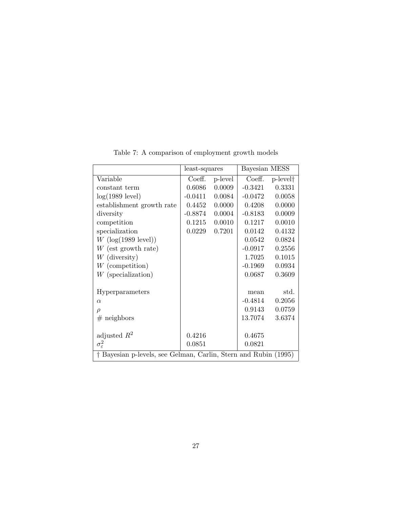|                                                                 | least-squares |         | Bayesian MESS |                      |
|-----------------------------------------------------------------|---------------|---------|---------------|----------------------|
| Variable                                                        | Coeff.        | p-level | Coeff.        | p-level <sup>†</sup> |
| constant term                                                   | 0.6086        | 0.0009  | $-0.3421$     | 0.3331               |
| $log(1989$ level)                                               | $-0.0411$     | 0.0084  | $-0.0472$     | 0.0058               |
| establishment growth rate                                       | 0.4452        | 0.0000  | 0.4208        | 0.0000               |
| diversity                                                       | $-0.8874$     | 0.0004  | $-0.8183$     | 0.0009               |
| competition                                                     | 0.1215        | 0.0010  | 0.1217        | 0.0010               |
| specialization                                                  | 0.0229        | 0.7201  | 0.0142        | 0.4132               |
| $W$ (log(1989 level))                                           |               |         | 0.0542        | 0.0824               |
| $W$ (est growth rate)                                           |               |         | $-0.0917$     | 0.2556               |
| $W$ (diversity)                                                 |               |         | 1.7025        | 0.1015               |
| $W$ (competition)                                               |               |         | $-0.1969$     | 0.0934               |
| $W$ (specialization)                                            |               |         | 0.0687        | 0.3609               |
|                                                                 |               |         |               |                      |
| Hyperparameters                                                 |               |         | mean          | std.                 |
| $\alpha$                                                        |               |         | $-0.4814$     | 0.2056               |
| $\rho$                                                          |               |         | 0.9143        | 0.0759               |
| $#$ neighbors                                                   |               |         | 13.7074       | 3.6374               |
|                                                                 |               |         |               |                      |
| adjusted $R^2$                                                  | 0.4216        |         | 0.4675        |                      |
| $\sigma_{\varepsilon}^2$                                        | 0.0851        |         | 0.0821        |                      |
| † Bayesian p-levels, see Gelman, Carlin, Stern and Rubin (1995) |               |         |               |                      |

Table 7: A comparison of employment growth models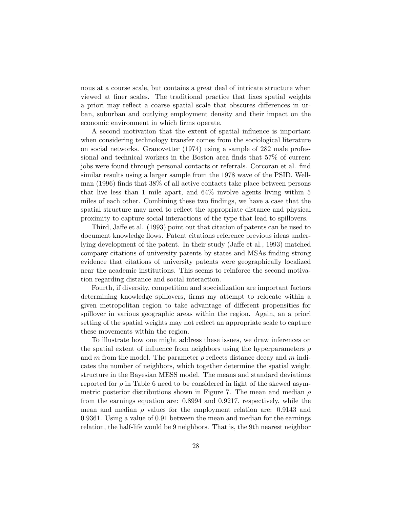nous at a course scale, but contains a great deal of intricate structure when viewed at finer scales. The traditional practice that fixes spatial weights a priori may reflect a coarse spatial scale that obscures differences in urban, suburban and outlying employment density and their impact on the economic environment in which firms operate.

A second motivation that the extent of spatial influence is important when considering technology transfer comes from the sociological literature on social networks. Granovetter (1974) using a sample of 282 male professional and technical workers in the Boston area finds that 57% of current jobs were found through personal contacts or referrals. Corcoran et al. find similar results using a larger sample from the 1978 wave of the PSID. Wellman (1996) finds that 38% of all active contacts take place between persons that live less than 1 mile apart, and 64% involve agents living within 5 miles of each other. Combining these two findings, we have a case that the spatial structure may need to reflect the appropriate distance and physical proximity to capture social interactions of the type that lead to spillovers.

Third, Jaffe et al. (1993) point out that citation of patents can be used to document knowledge flows. Patent citations reference previous ideas underlying development of the patent. In their study (Jaffe et al., 1993) matched company citations of university patents by states and MSAs finding strong evidence that citations of university patents were geographically localized near the academic institutions. This seems to reinforce the second motivation regarding distance and social interaction.

Fourth, if diversity, competition and specialization are important factors determining knowledge spillovers, firms my attempt to relocate within a given metropolitan region to take advantage of different propensities for spillover in various geographic areas within the region. Again, an a priori setting of the spatial weights may not reflect an appropriate scale to capture these movements within the region.

To illustrate how one might address these issues, we draw inferences on the spatial extent of influence from neighbors using the hyperparameters  $\rho$ and m from the model. The parameter  $\rho$  reflects distance decay and m indicates the number of neighbors, which together determine the spatial weight structure in the Bayesian MESS model. The means and standard deviations reported for  $\rho$  in Table 6 need to be considered in light of the skewed asymmetric posterior distributions shown in Figure 7. The mean and median  $\rho$ from the earnings equation are: 0.8994 and 0.9217, respectively, while the mean and median  $\rho$  values for the employment relation are: 0.9143 and 0.9361. Using a value of 0.91 between the mean and median for the earnings relation, the half-life would be 9 neighbors. That is, the 9th nearest neighbor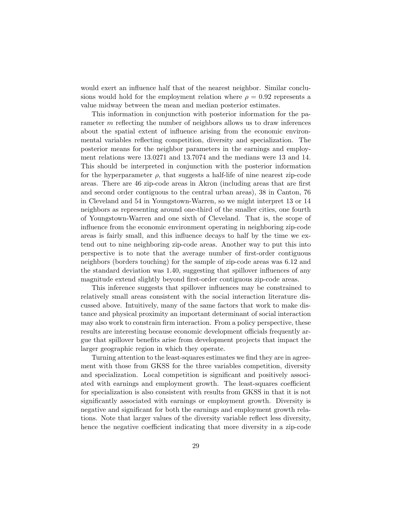would exert an influence half that of the nearest neighbor. Similar conclusions would hold for the employment relation where  $\rho = 0.92$  represents a value midway between the mean and median posterior estimates.

This information in conjunction with posterior information for the parameter m reflecting the number of neighbors allows us to draw inferences about the spatial extent of influence arising from the economic environmental variables reflecting competition, diversity and specialization. The posterior means for the neighbor parameters in the earnings and employment relations were 13.0271 and 13.7074 and the medians were 13 and 14. This should be interpreted in conjunction with the posterior information for the hyperparameter  $\rho$ , that suggests a half-life of nine nearest zip-code areas. There are 46 zip-code areas in Akron (including areas that are first and second order contiguous to the central urban areas), 38 in Canton, 76 in Cleveland and 54 in Youngstown-Warren, so we might interpret 13 or 14 neighbors as representing around one-third of the smaller cities, one fourth of Youngstown-Warren and one sixth of Cleveland. That is, the scope of influence from the economic environment operating in neighboring zip-code areas is fairly small, and this influence decays to half by the time we extend out to nine neighboring zip-code areas. Another way to put this into perspective is to note that the average number of first-order contiguous neighbors (borders touching) for the sample of zip-code areas was 6.12 and the standard deviation was 1.40, suggesting that spillover influences of any magnitude extend slightly beyond first-order contiguous zip-code areas.

This inference suggests that spillover influences may be constrained to relatively small areas consistent with the social interaction literature discussed above. Intuitively, many of the same factors that work to make distance and physical proximity an important determinant of social interaction may also work to constrain firm interaction. From a policy perspective, these results are interesting because economic development officials frequently argue that spillover benefits arise from development projects that impact the larger geographic region in which they operate.

Turning attention to the least-squares estimates we find they are in agreement with those from GKSS for the three variables competition, diversity and specialization. Local competition is significant and positively associated with earnings and employment growth. The least-squares coefficient for specialization is also consistent with results from GKSS in that it is not significantly associated with earnings or employment growth. Diversity is negative and significant for both the earnings and employment growth relations. Note that larger values of the diversity variable reflect less diversity, hence the negative coefficient indicating that more diversity in a zip-code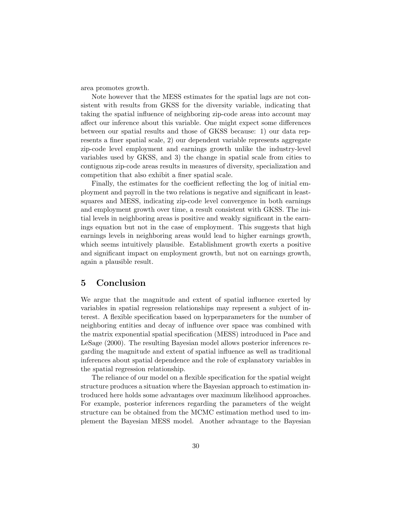area promotes growth.

Note however that the MESS estimates for the spatial lags are not consistent with results from GKSS for the diversity variable, indicating that taking the spatial influence of neighboring zip-code areas into account may affect our inference about this variable. One might expect some differences between our spatial results and those of GKSS because: 1) our data represents a finer spatial scale, 2) our dependent variable represents aggregate zip-code level employment and earnings growth unlike the industry-level variables used by GKSS, and 3) the change in spatial scale from cities to contiguous zip-code areas results in measures of diversity, specialization and competition that also exhibit a finer spatial scale.

Finally, the estimates for the coefficient reflecting the log of initial employment and payroll in the two relations is negative and significant in leastsquares and MESS, indicating zip-code level convergence in both earnings and employment growth over time, a result consistent with GKSS. The initial levels in neighboring areas is positive and weakly significant in the earnings equation but not in the case of employment. This suggests that high earnings levels in neighboring areas would lead to higher earnings growth, which seems intuitively plausible. Establishment growth exerts a positive and significant impact on employment growth, but not on earnings growth, again a plausible result.

### 5 Conclusion

We argue that the magnitude and extent of spatial influence exerted by variables in spatial regression relationships may represent a subject of interest. A flexible specification based on hyperparameters for the number of neighboring entities and decay of influence over space was combined with the matrix exponential spatial specification (MESS) introduced in Pace and LeSage (2000). The resulting Bayesian model allows posterior inferences regarding the magnitude and extent of spatial influence as well as traditional inferences about spatial dependence and the role of explanatory variables in the spatial regression relationship.

The reliance of our model on a flexible specification for the spatial weight structure produces a situation where the Bayesian approach to estimation introduced here holds some advantages over maximum likelihood approaches. For example, posterior inferences regarding the parameters of the weight structure can be obtained from the MCMC estimation method used to implement the Bayesian MESS model. Another advantage to the Bayesian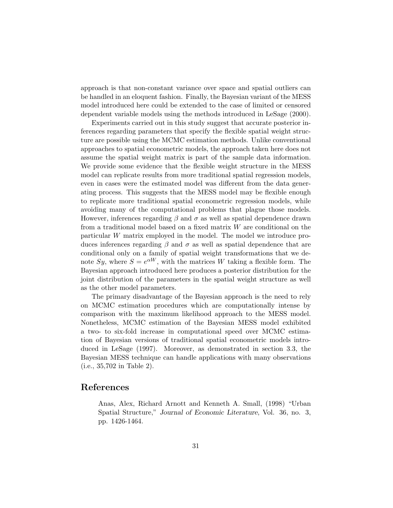approach is that non-constant variance over space and spatial outliers can be handled in an eloquent fashion. Finally, the Bayesian variant of the MESS model introduced here could be extended to the case of limited or censored dependent variable models using the methods introduced in LeSage (2000).

Experiments carried out in this study suggest that accurate posterior inferences regarding parameters that specify the flexible spatial weight structure are possible using the MCMC estimation methods. Unlike conventional approaches to spatial econometric models, the approach taken here does not assume the spatial weight matrix is part of the sample data information. We provide some evidence that the flexible weight structure in the MESS model can replicate results from more traditional spatial regression models, even in cases were the estimated model was different from the data generating process. This suggests that the MESS model may be flexible enough to replicate more traditional spatial econometric regression models, while avoiding many of the computational problems that plague those models. However, inferences regarding  $\beta$  and  $\sigma$  as well as spatial dependence drawn from a traditional model based on a fixed matrix W are conditional on the particular W matrix employed in the model. The model we introduce produces inferences regarding  $\beta$  and  $\sigma$  as well as spatial dependence that are conditional only on a family of spatial weight transformations that we denote  $Sy$ , where  $S = e^{\alpha W}$ , with the matrices W taking a flexible form. The Bayesian approach introduced here produces a posterior distribution for the joint distribution of the parameters in the spatial weight structure as well as the other model parameters.

The primary disadvantage of the Bayesian approach is the need to rely on MCMC estimation procedures which are computationally intense by comparison with the maximum likelihood approach to the MESS model. Nonetheless, MCMC estimation of the Bayesian MESS model exhibited a two- to six-fold increase in computational speed over MCMC estimation of Bayesian versions of traditional spatial econometric models introduced in LeSage (1997). Moreover, as demonstrated in section 3.3, the Bayesian MESS technique can handle applications with many observations (i.e., 35,702 in Table 2).

### References

Anas, Alex, Richard Arnott and Kenneth A. Small, (1998) "Urban Spatial Structure," Journal of Economic Literature, Vol. 36, no. 3, pp. 1426-1464.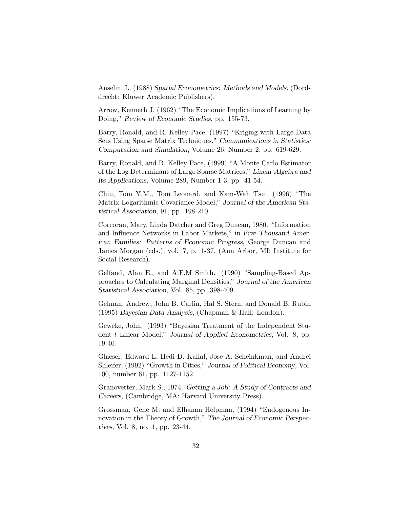Anselin, L. (1988) Spatial Econometrics: Methods and Models, (Dorddrecht: Kluwer Academic Publishers).

Arrow, Kenneth J. (1962) "The Economic Implications of Learning by Doing," Review of Economic Studies, pp. 155-73.

Barry, Ronald, and R. Kelley Pace, (1997) "Kriging with Large Data Sets Using Sparse Matrix Techniques," Communications in Statistics: Computation and Simulation, Volume 26, Number 2, pp. 619-629.

Barry, Ronald, and R. Kelley Pace, (1999) "A Monte Carlo Estimator of the Log Determinant of Large Sparse Matrices," Linear Algebra and its Applications, Volume 289, Number 1-3, pp. 41-54.

Chiu, Tom Y.M., Tom Leonard, and Kam-Wah Tsui, (1996) "The Matrix-Logarithmic Covariance Model," Journal of the American Statistical Association, 91, pp. 198-210.

Corcoran, Mary, Linda Datcher and Greg Duncan, 1980. "Information and Influence Networks in Labor Markets," in Five Thousand American Families: Patterns of Economic Progress, George Duncan and James Morgan (eds.), vol. 7, p. 1-37, (Ann Arbor, MI: Institute for Social Research).

Gelfand, Alan E., and A.F.M Smith. (1990) "Sampling-Based Approaches to Calculating Marginal Densities," Journal of the American Statistical Association, Vol. 85, pp. 398-409.

Gelman, Andrew, John B. Carlin, Hal S. Stern, and Donald B. Rubin (1995) Bayesian Data Analysis, (Chapman & Hall: London).

Geweke, John. (1993) "Bayesian Treatment of the Independent Student t Linear Model," Journal of Applied Econometrics, Vol. 8, pp. 19-40.

Glaeser, Edward L, Hedi D. Kallal, Jose A. Scheinkman, and Andrei Shleifer, (1992) "Growth in Cities," Journal of Political Economy, Vol. 100, number 61, pp. 1127-1152.

Granovetter, Mark S., 1974. Getting a Job: A Study of Contracts and Careers, (Cambridge, MA: Harvard University Press).

Grossman, Gene M. and Elhanan Helpman, (1994) "Endogenous Innovation in the Theory of Growth," The Journal of Economic Perspectives, Vol. 8, no. 1, pp. 23-44.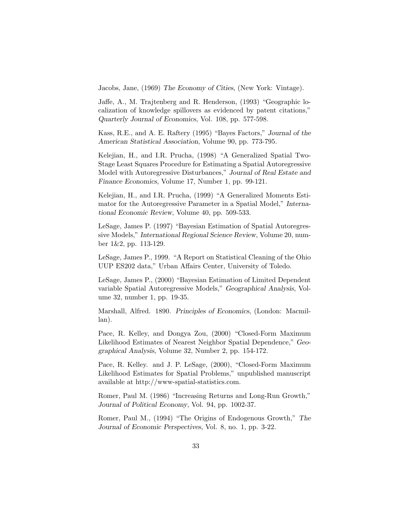Jacobs, Jane, (1969) The Economy of Cities, (New York: Vintage).

Jaffe, A., M. Trajtenberg and R. Henderson, (1993) "Geographic localization of knowledge spillovers as evidenced by patent citations," Quarterly Journal of Economics, Vol. 108, pp. 577-598.

Kass, R.E., and A. E. Raftery (1995) "Bayes Factors," Journal of the American Statistical Association, Volume 90, pp. 773-795.

Kelejian, H., and I.R. Prucha, (1998) "A Generalized Spatial Two-Stage Least Squares Procedure for Estimating a Spatial Autoregressive Model with Autoregressive Disturbances," Journal of Real Estate and Finance Economics, Volume 17, Number 1, pp. 99-121.

Kelejian, H., and I.R. Prucha, (1999) "A Generalized Moments Estimator for the Autoregressive Parameter in a Spatial Model," International Economic Review, Volume 40, pp. 509-533.

LeSage, James P. (1997) "Bayesian Estimation of Spatial Autoregressive Models," International Regional Science Review, Volume 20, number 1&2, pp. 113-129.

LeSage, James P., 1999. "A Report on Statistical Cleaning of the Ohio UUP ES202 data," Urban Affairs Center, University of Toledo.

LeSage, James P., (2000) "Bayesian Estimation of Limited Dependent variable Spatial Autoregressive Models," Geographical Analysis, Volume 32, number 1, pp. 19-35.

Marshall, Alfred. 1890. Principles of Economics, (London: Macmillan).

Pace, R. Kelley, and Dongya Zou, (2000) "Closed-Form Maximum Likelihood Estimates of Nearest Neighbor Spatial Dependence," Geographical Analysis, Volume 32, Number 2, pp. 154-172.

Pace, R. Kelley. and J. P. LeSage, (2000), "Closed-Form Maximum Likelihood Estimates for Spatial Problems," unpublished manuscript available at http://www-spatial-statistics.com.

Romer, Paul M. (1986) "Increasing Returns and Long-Run Growth," Journal of Political Economy, Vol. 94, pp. 1002-37.

Romer, Paul M., (1994) "The Origins of Endogenous Growth," The Journal of Economic Perspectives, Vol. 8, no. 1, pp. 3-22.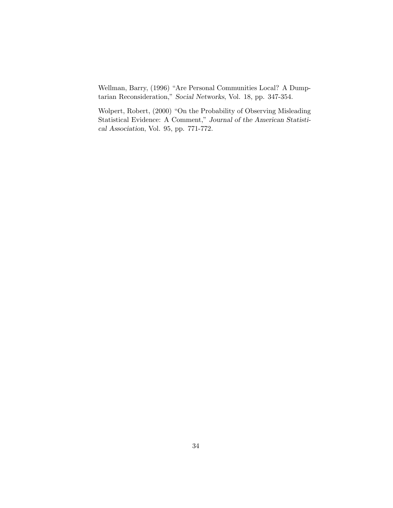Wellman, Barry, (1996) "Are Personal Communities Local? A Dumptarian Reconsideration," Social Networks, Vol. 18, pp. 347-354.

Wolpert, Robert, (2000) "On the Probability of Observing Misleading Statistical Evidence: A Comment," Journal of the American Statistical Association, Vol. 95, pp. 771-772.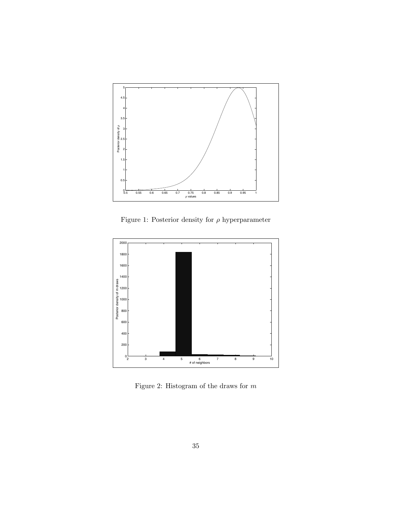

Figure 1: Posterior density for  $\rho$  hyperparameter



Figure 2: Histogram of the draws for  $m$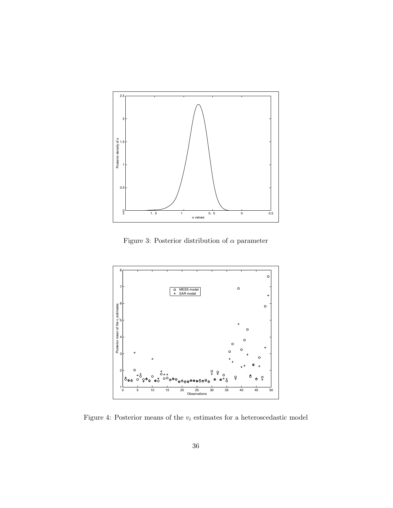

Figure 3: Posterior distribution of  $\alpha$  parameter



Figure 4: Posterior means of the  $v_i$  estimates for a heteroscedastic model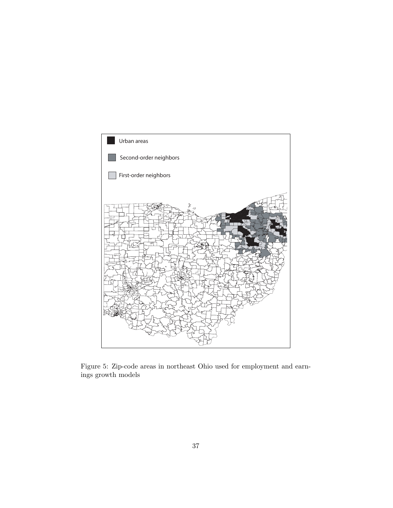

Figure 5: Zip-code areas in northeast Ohio used for employment and earnings growth models